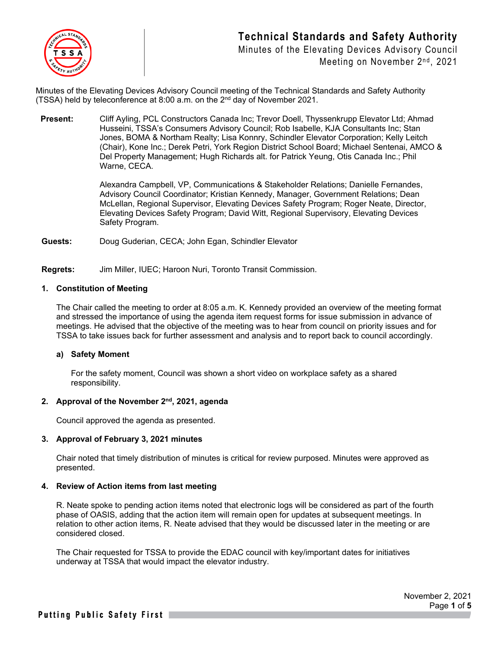

Minutes of the Elevating Devices Advisory Council Meeting on November 2<sup>nd</sup>, 2021

Minutes of the Elevating Devices Advisory Council meeting of the Technical Standards and Safety Authority (TSSA) held by teleconference at 8:00 a.m. on the  $2<sup>nd</sup>$  day of November 2021.

**Present:** Cliff Ayling, PCL Constructors Canada Inc; Trevor Doell, Thyssenkrupp Elevator Ltd; Ahmad Husseini, TSSA's Consumers Advisory Council; Rob Isabelle, KJA Consultants Inc; Stan Jones, BOMA & Northam Realty; Lisa Konnry, Schindler Elevator Corporation; Kelly Leitch (Chair), Kone Inc.; Derek Petri, York Region District School Board; Michael Sentenai, AMCO & Del Property Management; Hugh Richards alt. for Patrick Yeung, Otis Canada Inc.; Phil Warne, CECA.

> Alexandra Campbell, VP, Communications & Stakeholder Relations; Danielle Fernandes, Advisory Council Coordinator; Kristian Kennedy, Manager, Government Relations; Dean McLellan, Regional Supervisor, Elevating Devices Safety Program; Roger Neate, Director, Elevating Devices Safety Program; David Witt, Regional Supervisory, Elevating Devices Safety Program.

**Guests:** Doug Guderian, CECA; John Egan, Schindler Elevator

**Regrets:** Jim Miller, IUEC; Haroon Nuri, Toronto Transit Commission.

### **1. Constitution of Meeting**

The Chair called the meeting to order at 8:05 a.m. K. Kennedy provided an overview of the meeting format and stressed the importance of using the agenda item request forms for issue submission in advance of meetings. He advised that the objective of the meeting was to hear from council on priority issues and for TSSA to take issues back for further assessment and analysis and to report back to council accordingly.

#### **a) Safety Moment**

For the safety moment, Council was shown a short video on workplace safety as a shared responsibility.

# **2. Approval of the November 2nd, 2021, agenda**

Council approved the agenda as presented.

# **3. Approval of February 3, 2021 minutes**

Chair noted that timely distribution of minutes is critical for review purposed. Minutes were approved as presented.

#### **4. Review of Action items from last meeting**

R. Neate spoke to pending action items noted that electronic logs will be considered as part of the fourth phase of OASIS, adding that the action item will remain open for updates at subsequent meetings. In relation to other action items, R. Neate advised that they would be discussed later in the meeting or are considered closed.

The Chair requested for TSSA to provide the EDAC council with key/important dates for initiatives underway at TSSA that would impact the elevator industry.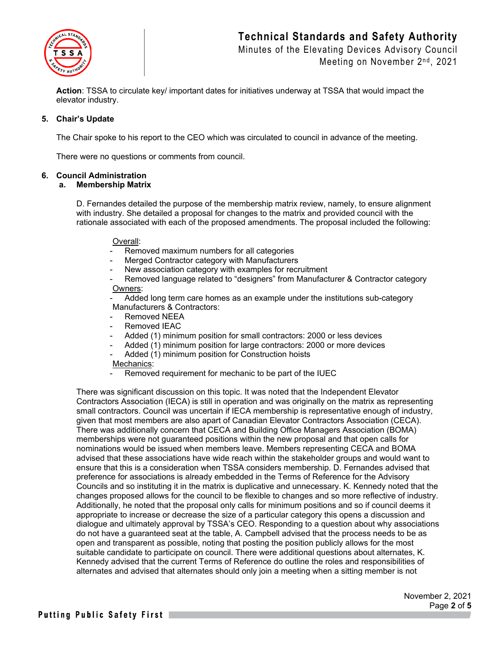

Minutes of the Elevating Devices Advisory Council Meeting on November 2<sup>nd</sup>, 2021

**Action**: TSSA to circulate key/ important dates for initiatives underway at TSSA that would impact the elevator industry.

# **5. Chair's Update**

The Chair spoke to his report to the CEO which was circulated to council in advance of the meeting.

There were no questions or comments from council.

# **6. Council Administration**

#### **a. Membership Matrix**

D. Fernandes detailed the purpose of the membership matrix review, namely, to ensure alignment with industry. She detailed a proposal for changes to the matrix and provided council with the rationale associated with each of the proposed amendments. The proposal included the following:

### Overall:

- Removed maximum numbers for all categories
- Merged Contractor category with Manufacturers
- New association category with examples for recruitment
- Removed language related to "designers" from Manufacturer & Contractor category Owners:

Added long term care homes as an example under the institutions sub-category Manufacturers & Contractors:

- Removed NEEA
- Removed IEAC
- Added (1) minimum position for small contractors: 2000 or less devices
- Added (1) minimum position for large contractors: 2000 or more devices
- Added (1) minimum position for Construction hoists

#### Mechanics:

Removed requirement for mechanic to be part of the IUEC

There was significant discussion on this topic. It was noted that the Independent Elevator Contractors Association (IECA) is still in operation and was originally on the matrix as representing small contractors. Council was uncertain if IECA membership is representative enough of industry, given that most members are also apart of Canadian Elevator Contractors Association (CECA). There was additionally concern that CECA and Building Office Managers Association (BOMA) memberships were not guaranteed positions within the new proposal and that open calls for nominations would be issued when members leave. Members representing CECA and BOMA advised that these associations have wide reach within the stakeholder groups and would want to ensure that this is a consideration when TSSA considers membership. D. Fernandes advised that preference for associations is already embedded in the Terms of Reference for the Advisory Councils and so instituting it in the matrix is duplicative and unnecessary. K. Kennedy noted that the changes proposed allows for the council to be flexible to changes and so more reflective of industry. Additionally, he noted that the proposal only calls for minimum positions and so if council deems it appropriate to increase or decrease the size of a particular category this opens a discussion and dialogue and ultimately approval by TSSA's CEO. Responding to a question about why associations do not have a guaranteed seat at the table, A. Campbell advised that the process needs to be as open and transparent as possible, noting that posting the position publicly allows for the most suitable candidate to participate on council. There were additional questions about alternates, K. Kennedy advised that the current Terms of Reference do outline the roles and responsibilities of alternates and advised that alternates should only join a meeting when a sitting member is not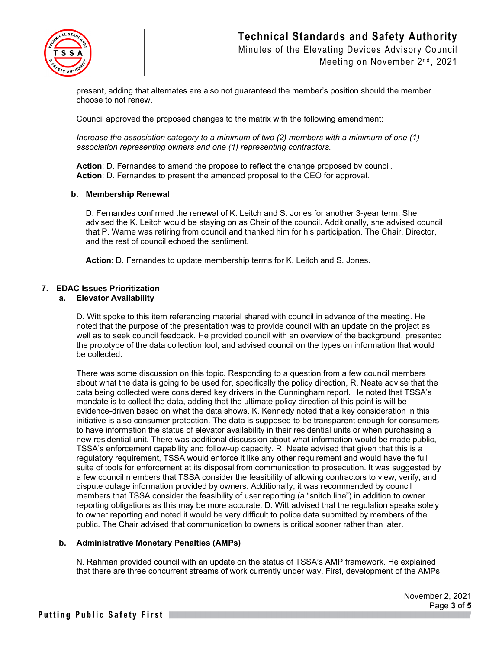

Minutes of the Elevating Devices Advisory Council Meeting on November 2<sup>nd</sup>, 2021

present, adding that alternates are also not guaranteed the member's position should the member choose to not renew.

Council approved the proposed changes to the matrix with the following amendment:

*Increase the association category to a minimum of two (2) members with a minimum of one (1) association representing owners and one (1) representing contractors.*

**Action**: D. Fernandes to amend the propose to reflect the change proposed by council. **Action**: D. Fernandes to present the amended proposal to the CEO for approval.

#### **b. Membership Renewal**

D. Fernandes confirmed the renewal of K. Leitch and S. Jones for another 3-year term. She advised the K. Leitch would be staying on as Chair of the council. Additionally, she advised council that P. Warne was retiring from council and thanked him for his participation. The Chair, Director, and the rest of council echoed the sentiment.

**Action**: D. Fernandes to update membership terms for K. Leitch and S. Jones.

# **7. EDAC Issues Prioritization**

#### **a. Elevator Availability**

D. Witt spoke to this item referencing material shared with council in advance of the meeting. He noted that the purpose of the presentation was to provide council with an update on the project as well as to seek council feedback. He provided council with an overview of the background, presented the prototype of the data collection tool, and advised council on the types on information that would be collected.

There was some discussion on this topic. Responding to a question from a few council members about what the data is going to be used for, specifically the policy direction, R. Neate advise that the data being collected were considered key drivers in the Cunningham report. He noted that TSSA's mandate is to collect the data, adding that the ultimate policy direction at this point is will be evidence-driven based on what the data shows. K. Kennedy noted that a key consideration in this initiative is also consumer protection. The data is supposed to be transparent enough for consumers to have information the status of elevator availability in their residential units or when purchasing a new residential unit. There was additional discussion about what information would be made public, TSSA's enforcement capability and follow-up capacity. R. Neate advised that given that this is a regulatory requirement, TSSA would enforce it like any other requirement and would have the full suite of tools for enforcement at its disposal from communication to prosecution. It was suggested by a few council members that TSSA consider the feasibility of allowing contractors to view, verify, and dispute outage information provided by owners. Additionally, it was recommended by council members that TSSA consider the feasibility of user reporting (a "snitch line") in addition to owner reporting obligations as this may be more accurate. D. Witt advised that the regulation speaks solely to owner reporting and noted it would be very difficult to police data submitted by members of the public. The Chair advised that communication to owners is critical sooner rather than later.

#### **b. Administrative Monetary Penalties (AMPs)**

N. Rahman provided council with an update on the status of TSSA's AMP framework. He explained that there are three concurrent streams of work currently under way. First, development of the AMPs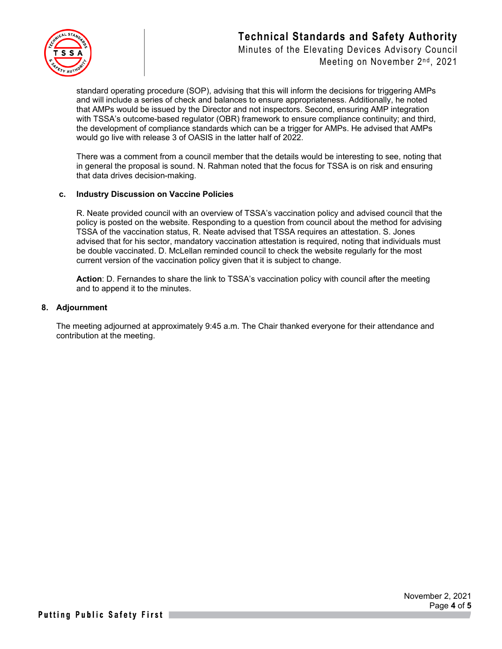

Minutes of the Elevating Devices Advisory Council Meeting on November 2<sup>nd</sup>, 2021

standard operating procedure (SOP), advising that this will inform the decisions for triggering AMPs and will include a series of check and balances to ensure appropriateness. Additionally, he noted that AMPs would be issued by the Director and not inspectors. Second, ensuring AMP integration with TSSA's outcome-based regulator (OBR) framework to ensure compliance continuity; and third, the development of compliance standards which can be a trigger for AMPs. He advised that AMPs would go live with release 3 of OASIS in the latter half of 2022.

There was a comment from a council member that the details would be interesting to see, noting that in general the proposal is sound. N. Rahman noted that the focus for TSSA is on risk and ensuring that data drives decision-making.

### **c. Industry Discussion on Vaccine Policies**

R. Neate provided council with an overview of TSSA's vaccination policy and advised council that the policy is posted on the website. Responding to a question from council about the method for advising TSSA of the vaccination status, R. Neate advised that TSSA requires an attestation. S. Jones advised that for his sector, mandatory vaccination attestation is required, noting that individuals must be double vaccinated. D. McLellan reminded council to check the website regularly for the most current version of the vaccination policy given that it is subject to change.

**Action**: D. Fernandes to share the link to TSSA's vaccination policy with council after the meeting and to append it to the minutes.

#### **8. Adjournment**

The meeting adjourned at approximately 9:45 a.m. The Chair thanked everyone for their attendance and contribution at the meeting.